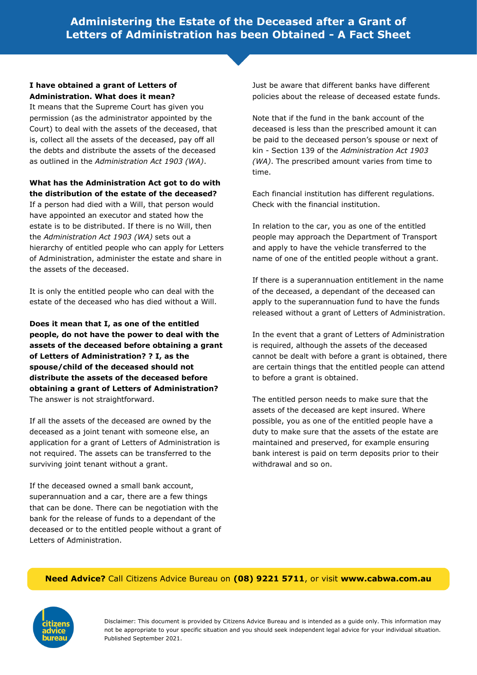## **I have obtained a grant of Letters of Administration. What does it mean?**

It means that the Supreme Court has given you permission (as the administrator appointed by the Court) to deal with the assets of the deceased, that is, collect all the assets of the deceased, pay off all the debts and distribute the assets of the deceased as outlined in the *Administration Act 1903 (WA)*.

### **What has the Administration Act got to do with the distribution of the estate of the deceased?**

If a person had died with a Will, that person would have appointed an executor and stated how the estate is to be distributed. If there is no Will, then the *Administration Act 1903 (WA)* sets out a hierarchy of entitled people who can apply for Letters of Administration, administer the estate and share in the assets of the deceased.

It is only the entitled people who can deal with the estate of the deceased who has died without a Will.

**Does it mean that I, as one of the entitled people, do not have the power to deal with the assets of the deceased before obtaining a grant of Letters of Administration? ? I, as the spouse/child of the deceased should not distribute the assets of the deceased before obtaining a grant of Letters of Administration?** The answer is not straightforward.

If all the assets of the deceased are owned by the deceased as a joint tenant with someone else, an application for a grant of Letters of Administration is not required. The assets can be transferred to the surviving joint tenant without a grant.

If the deceased owned a small bank account, superannuation and a car, there are a few things that can be done. There can be negotiation with the bank for the release of funds to a dependant of the deceased or to the entitled people without a grant of Letters of Administration.

Just be aware that different banks have different policies about the release of deceased estate funds.

Note that if the fund in the bank account of the deceased is less than the prescribed amount it can be paid to the deceased person's spouse or next of kin - Section 139 of the *Administration Act 1903 (WA)*. The prescribed amount varies from time to time.

Each financial institution has different regulations. Check with the financial institution.

In relation to the car, you as one of the entitled people may approach the Department of Transport and apply to have the vehicle transferred to the name of one of the entitled people without a grant.

If there is a superannuation entitlement in the name of the deceased, a dependant of the deceased can apply to the superannuation fund to have the funds released without a grant of Letters of Administration.

In the event that a grant of Letters of Administration is required, although the assets of the deceased cannot be dealt with before a grant is obtained, there are certain things that the entitled people can attend to before a grant is obtained.

The entitled person needs to make sure that the assets of the deceased are kept insured. Where possible, you as one of the entitled people have a duty to make sure that the assets of the estate are maintained and preserved, for example ensuring bank interest is paid on term deposits prior to their withdrawal and so on.

## **Need Advice?** Call Citizens Advice Bureau on **(08) 9221 5711**, or visit **www.cabwa.com.au**

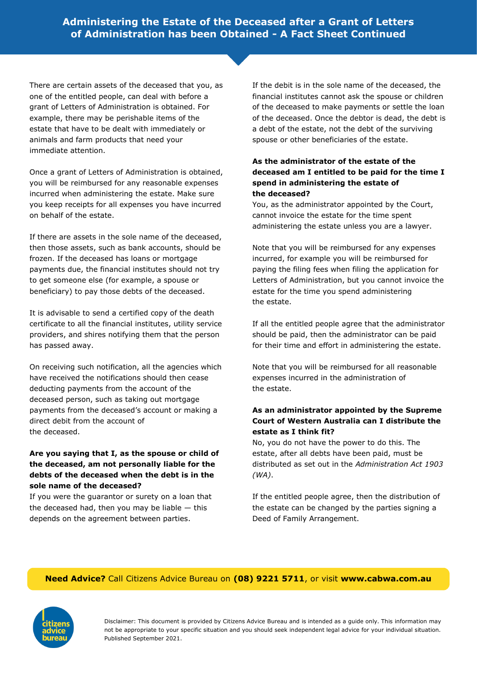There are certain assets of the deceased that you, as one of the entitled people, can deal with before a grant of Letters of Administration is obtained. For example, there may be perishable items of the estate that have to be dealt with immediately or animals and farm products that need your immediate attention.

Once a grant of Letters of Administration is obtained, you will be reimbursed for any reasonable expenses incurred when administering the estate. Make sure you keep receipts for all expenses you have incurred on behalf of the estate.

If there are assets in the sole name of the deceased, then those assets, such as bank accounts, should be frozen. If the deceased has loans or mortgage payments due, the financial institutes should not try to get someone else (for example, a spouse or beneficiary) to pay those debts of the deceased.

It is advisable to send a certified copy of the death certificate to all the financial institutes, utility service providers, and shires notifying them that the person has passed away.

On receiving such notification, all the agencies which have received the notifications should then cease deducting payments from the account of the deceased person, such as taking out mortgage payments from the deceased's account or making a direct debit from the account of the deceased.

### **Are you saying that I, as the spouse or child of the deceased, am not personally liable for the debts of the deceased when the debt is in the sole name of the deceased?**

If you were the guarantor or surety on a loan that the deceased had, then you may be liable  $-$  this depends on the agreement between parties.

If the debit is in the sole name of the deceased, the financial institutes cannot ask the spouse or children of the deceased to make payments or settle the loan of the deceased. Once the debtor is dead, the debt is a debt of the estate, not the debt of the surviving spouse or other beneficiaries of the estate.

## **As the administrator of the estate of the deceased am I entitled to be paid for the time I spend in administering the estate of the deceased?**

You, as the administrator appointed by the Court, cannot invoice the estate for the time spent administering the estate unless you are a lawyer.

Note that you will be reimbursed for any expenses incurred, for example you will be reimbursed for paying the filing fees when filing the application for Letters of Administration, but you cannot invoice the estate for the time you spend administering the estate.

If all the entitled people agree that the administrator should be paid, then the administrator can be paid for their time and effort in administering the estate.

Note that you will be reimbursed for all reasonable expenses incurred in the administration of the estate.

## **As an administrator appointed by the Supreme Court of Western Australia can I distribute the estate as I think fit?**

No, you do not have the power to do this. The estate, after all debts have been paid, must be distributed as set out in the *Administration Act 1903 (WA)*.

If the entitled people agree, then the distribution of the estate can be changed by the parties signing a Deed of Family Arrangement.

## **Need Advice?** Call Citizens Advice Bureau on **(08) 9221 5711**, or visit **www.cabwa.com.au**

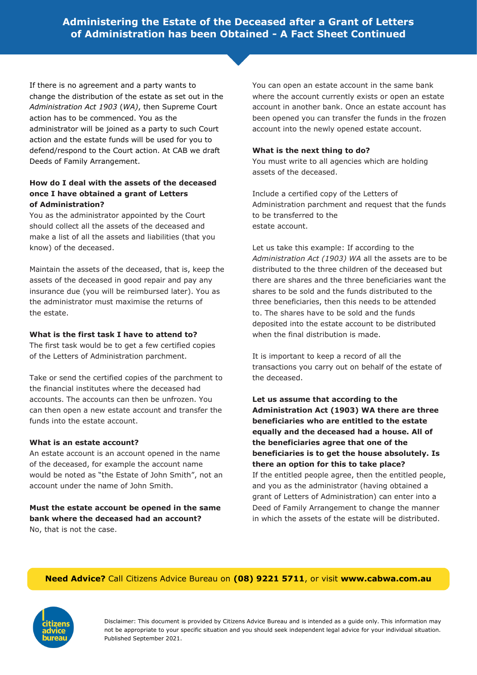If there is no agreement and a party wants to change the distribution of the estate as set out in the *Administration Act 1903* (*WA)*, then Supreme Court action has to be commenced. You as the administrator will be joined as a party to such Court action and the estate funds will be used for you to defend/respond to the Court action. At CAB we draft Deeds of Family Arrangement.

### **How do I deal with the assets of the deceased once I have obtained a grant of Letters of Administration?**

You as the administrator appointed by the Court should collect all the assets of the deceased and make a list of all the assets and liabilities (that you know) of the deceased.

Maintain the assets of the deceased, that is, keep the assets of the deceased in good repair and pay any insurance due (you will be reimbursed later). You as the administrator must maximise the returns of the estate.

### **What is the first task I have to attend to?**

The first task would be to get a few certified copies of the Letters of Administration parchment.

Take or send the certified copies of the parchment to the financial institutes where the deceased had accounts. The accounts can then be unfrozen. You can then open a new estate account and transfer the funds into the estate account.

#### **What is an estate account?**

An estate account is an account opened in the name of the deceased, for example the account name would be noted as "the Estate of John Smith", not an account under the name of John Smith.

**Must the estate account be opened in the same bank where the deceased had an account?** No, that is not the case.

You can open an estate account in the same bank where the account currently exists or open an estate account in another bank. Once an estate account has been opened you can transfer the funds in the frozen account into the newly opened estate account.

### **What is the next thing to do?**

You must write to all agencies which are holding assets of the deceased.

Include a certified copy of the Letters of Administration parchment and request that the funds to be transferred to the estate account.

Let us take this example: If according to the *Administration Act (1903) WA* all the assets are to be distributed to the three children of the deceased but there are shares and the three beneficiaries want the shares to be sold and the funds distributed to the three beneficiaries, then this needs to be attended to. The shares have to be sold and the funds deposited into the estate account to be distributed when the final distribution is made.

It is important to keep a record of all the transactions you carry out on behalf of the estate of the deceased.

**Let us assume that according to the Administration Act (1903) WA there are three beneficiaries who are entitled to the estate equally and the deceased had a house. All of the beneficiaries agree that one of the beneficiaries is to get the house absolutely. Is there an option for this to take place?**

If the entitled people agree, then the entitled people, and you as the administrator (having obtained a grant of Letters of Administration) can enter into a Deed of Family Arrangement to change the manner in which the assets of the estate will be distributed.

## **Need Advice?** Call Citizens Advice Bureau on **(08) 9221 5711**, or visit **www.cabwa.com.au**

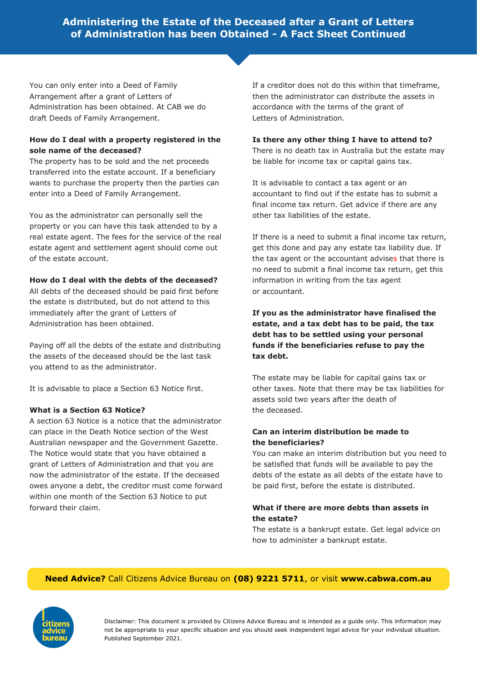You can only enter into a Deed of Family Arrangement after a grant of Letters of Administration has been obtained. At CAB we do draft Deeds of Family Arrangement.

## **How do I deal with a property registered in the sole name of the deceased?**

The property has to be sold and the net proceeds transferred into the estate account. If a beneficiary wants to purchase the property then the parties can enter into a Deed of Family Arrangement.

You as the administrator can personally sell the property or you can have this task attended to by a real estate agent. The fees for the service of the real estate agent and settlement agent should come out of the estate account.

### **How do I deal with the debts of the deceased?**

All debts of the deceased should be paid first before the estate is distributed, but do not attend to this immediately after the grant of Letters of Administration has been obtained.

Paying off all the debts of the estate and distributing the assets of the deceased should be the last task you attend to as the administrator.

It is advisable to place a Section 63 Notice first.

## **What is a Section 63 Notice?**

A section 63 Notice is a notice that the administrator can place in the Death Notice section of the West Australian newspaper and the Government Gazette. The Notice would state that you have obtained a grant of Letters of Administration and that you are now the administrator of the estate. If the deceased owes anyone a debt, the creditor must come forward within one month of the Section 63 Notice to put forward their claim.

If a creditor does not do this within that timeframe, then the administrator can distribute the assets in accordance with the terms of the grant of Letters of Administration.

### **Is there any other thing I have to attend to?**

There is no death tax in Australia but the estate may be liable for income tax or capital gains tax.

It is advisable to contact a tax agent or an accountant to find out if the estate has to submit a final income tax return. Get advice if there are any other tax liabilities of the estate.

If there is a need to submit a final income tax return, get this done and pay any estate tax liability due. If the tax agent or the accountant advises that there is no need to submit a final income tax return, get this information in writing from the tax agent or accountant.

## **If you as the administrator have finalised the estate, and a tax debt has to be paid, the tax debt has to be settled using your personal funds if the beneficiaries refuse to pay the tax debt.**

The estate may be liable for capital gains tax or other taxes. Note that there may be tax liabilities for assets sold two years after the death of the deceased.

## **Can an interim distribution be made to the beneficiaries?**

You can make an interim distribution but you need to be satisfied that funds will be available to pay the debts of the estate as all debts of the estate have to be paid first, before the estate is distributed.

### **What if there are more debts than assets in the estate?**

The estate is a bankrupt estate. Get legal advice on how to administer a bankrupt estate.

## **Need Advice?** Call Citizens Advice Bureau on **(08) 9221 5711**, or visit **www.cabwa.com.au**